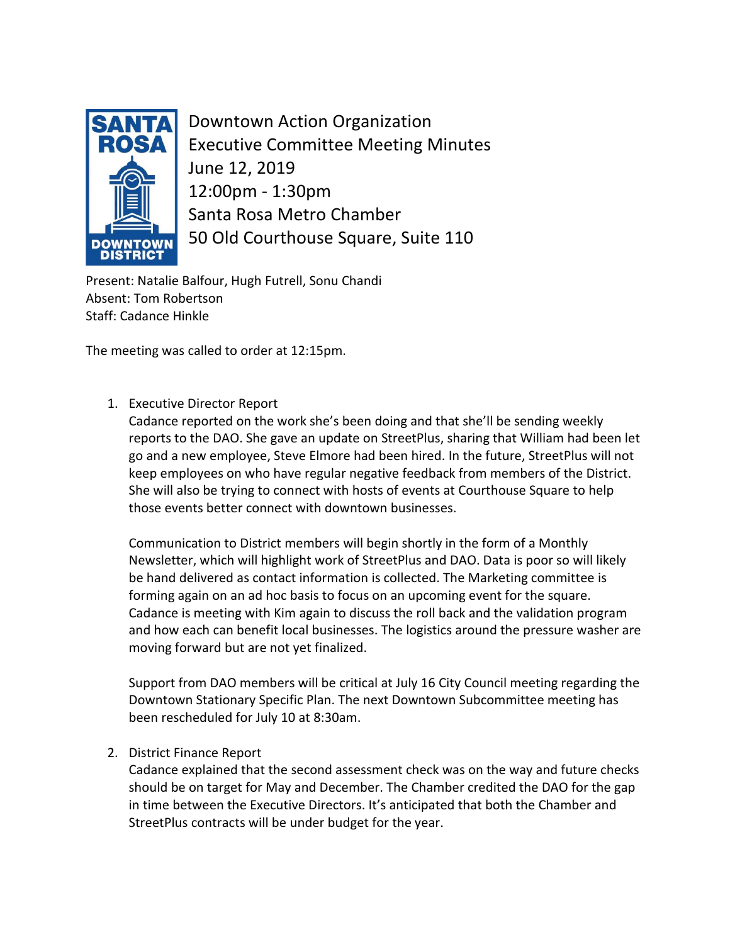

Downtown Action Organization Executive Committee Meeting Minutes June 12, 2019 12:00pm - 1:30pm Santa Rosa Metro Chamber 50 Old Courthouse Square, Suite 110

Present: Natalie Balfour, Hugh Futrell, Sonu Chandi Absent: Tom Robertson Staff: Cadance Hinkle

The meeting was called to order at 12:15pm.

1. Executive Director Report

Cadance reported on the work she's been doing and that she'll be sending weekly reports to the DAO. She gave an update on StreetPlus, sharing that William had been let go and a new employee, Steve Elmore had been hired. In the future, StreetPlus will not keep employees on who have regular negative feedback from members of the District. She will also be trying to connect with hosts of events at Courthouse Square to help those events better connect with downtown businesses.

Communication to District members will begin shortly in the form of a Monthly Newsletter, which will highlight work of StreetPlus and DAO. Data is poor so will likely be hand delivered as contact information is collected. The Marketing committee is forming again on an ad hoc basis to focus on an upcoming event for the square. Cadance is meeting with Kim again to discuss the roll back and the validation program and how each can benefit local businesses. The logistics around the pressure washer are moving forward but are not yet finalized.

Support from DAO members will be critical at July 16 City Council meeting regarding the Downtown Stationary Specific Plan. The next Downtown Subcommittee meeting has been rescheduled for July 10 at 8:30am.

2. District Finance Report

Cadance explained that the second assessment check was on the way and future checks should be on target for May and December. The Chamber credited the DAO for the gap in time between the Executive Directors. It's anticipated that both the Chamber and StreetPlus contracts will be under budget for the year.